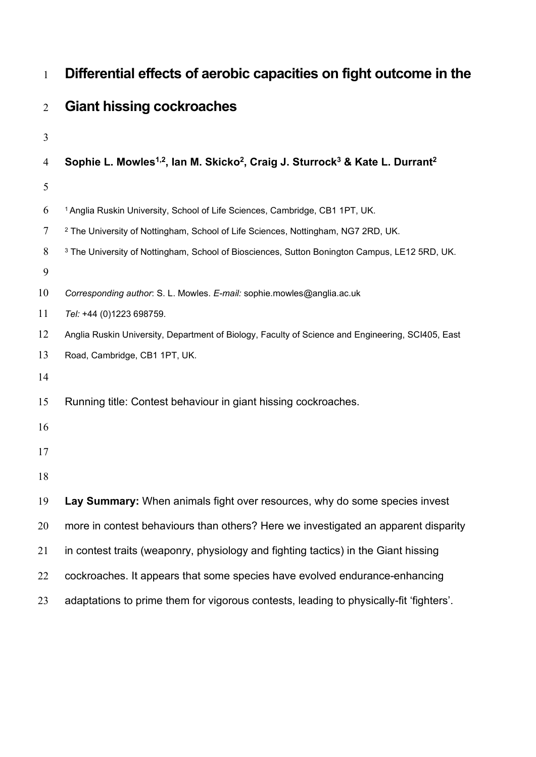| $\mathbf{1}$   | Differential effects of aerobic capacities on fight outcome in the                                                           |
|----------------|------------------------------------------------------------------------------------------------------------------------------|
| $\overline{2}$ | <b>Giant hissing cockroaches</b>                                                                                             |
| $\mathfrak{Z}$ |                                                                                                                              |
| $\overline{4}$ | Sophie L. Mowles <sup>1,2</sup> , Ian M. Skicko <sup>2</sup> , Craig J. Sturrock <sup>3</sup> & Kate L. Durrant <sup>2</sup> |
| $\mathfrak{S}$ |                                                                                                                              |
| 6              | <sup>1</sup> Anglia Ruskin University, School of Life Sciences, Cambridge, CB1 1PT, UK.                                      |
| $\tau$         | <sup>2</sup> The University of Nottingham, School of Life Sciences, Nottingham, NG7 2RD, UK.                                 |
| $8\,$          | <sup>3</sup> The University of Nottingham, School of Biosciences, Sutton Bonington Campus, LE12 5RD, UK.                     |
| $\mathbf{9}$   |                                                                                                                              |
| 10             | Corresponding author: S. L. Mowles. E-mail: sophie.mowles@anglia.ac.uk                                                       |
| 11             | Tel: +44 (0)1223 698759.                                                                                                     |
| 12             | Anglia Ruskin University, Department of Biology, Faculty of Science and Engineering, SCI405, East                            |
| 13             | Road, Cambridge, CB1 1PT, UK.                                                                                                |
| 14             |                                                                                                                              |
| 15             | Running title: Contest behaviour in giant hissing cockroaches.                                                               |
| 16             |                                                                                                                              |
| 17             |                                                                                                                              |
| 18             |                                                                                                                              |
| 19             | Lay Summary: When animals fight over resources, why do some species invest                                                   |
| 20             | more in contest behaviours than others? Here we investigated an apparent disparity                                           |
| 21             | in contest traits (weaponry, physiology and fighting tactics) in the Giant hissing                                           |
| 22             | cockroaches. It appears that some species have evolved endurance-enhancing                                                   |
| 23             | adaptations to prime them for vigorous contests, leading to physically-fit 'fighters'.                                       |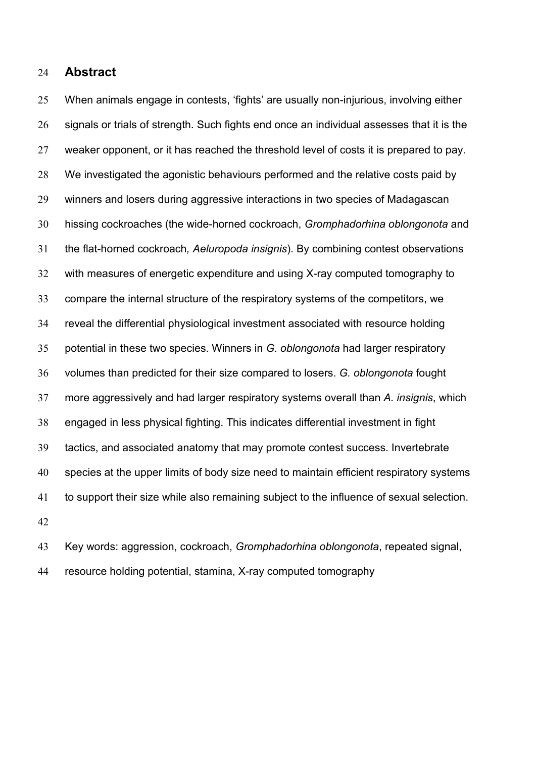## **Abstract**

 When animals engage in contests, 'fights' are usually non-injurious, involving either signals or trials of strength. Such fights end once an individual assesses that it is the weaker opponent, or it has reached the threshold level of costs it is prepared to pay. We investigated the agonistic behaviours performed and the relative costs paid by winners and losers during aggressive interactions in two species of Madagascan hissing cockroaches (the wide-horned cockroach, *Gromphadorhina oblongonota* and the flat-horned cockroach*, Aeluropoda insignis*). By combining contest observations with measures of energetic expenditure and using X-ray computed tomography to compare the internal structure of the respiratory systems of the competitors, we reveal the differential physiological investment associated with resource holding potential in these two species. Winners in *G. oblongonota* had larger respiratory volumes than predicted for their size compared to losers. *G. oblongonota* fought more aggressively and had larger respiratory systems overall than *A. insignis*, which engaged in less physical fighting. This indicates differential investment in fight tactics, and associated anatomy that may promote contest success. Invertebrate species at the upper limits of body size need to maintain efficient respiratory systems to support their size while also remaining subject to the influence of sexual selection. 

 Key words: aggression, cockroach, *Gromphadorhina oblongonota*, repeated signal, resource holding potential, stamina, X-ray computed tomography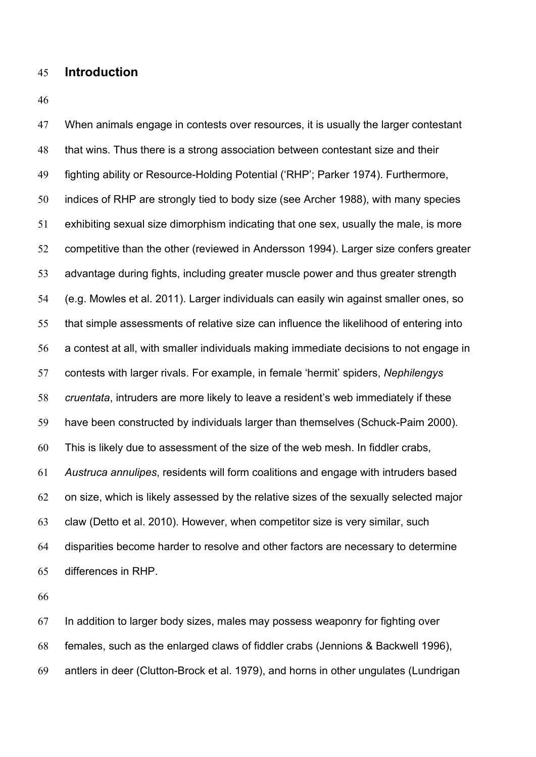#### **Introduction**

 When animals engage in contests over resources, it is usually the larger contestant that wins. Thus there is a strong association between contestant size and their fighting ability or Resource-Holding Potential ('RHP'; Parker 1974). Furthermore, indices of RHP are strongly tied to body size (see Archer 1988), with many species exhibiting sexual size dimorphism indicating that one sex, usually the male, is more competitive than the other (reviewed in Andersson 1994). Larger size confers greater advantage during fights, including greater muscle power and thus greater strength (e.g. Mowles et al. 2011). Larger individuals can easily win against smaller ones, so that simple assessments of relative size can influence the likelihood of entering into a contest at all, with smaller individuals making immediate decisions to not engage in contests with larger rivals. For example, in female 'hermit' spiders, *Nephilengys cruentata*, intruders are more likely to leave a resident's web immediately if these have been constructed by individuals larger than themselves (Schuck-Paim 2000). This is likely due to assessment of the size of the web mesh. In fiddler crabs, *Austruca annulipes*, residents will form coalitions and engage with intruders based on size, which is likely assessed by the relative sizes of the sexually selected major claw (Detto et al. 2010). However, when competitor size is very similar, such disparities become harder to resolve and other factors are necessary to determine differences in RHP.

 In addition to larger body sizes, males may possess weaponry for fighting over females, such as the enlarged claws of fiddler crabs (Jennions & Backwell 1996), antlers in deer (Clutton-Brock et al. 1979), and horns in other ungulates (Lundrigan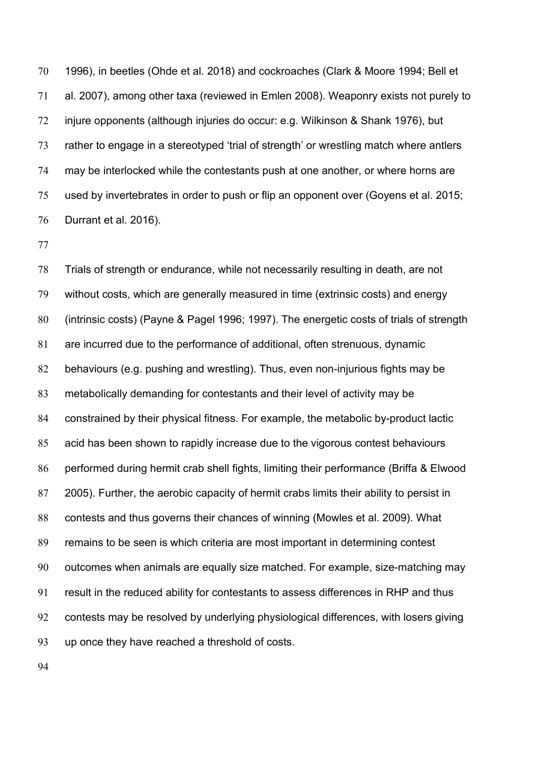1996), in beetles (Ohde et al*.* 2018) and cockroaches (Clark & Moore 1994; Bell et al. 2007), among other taxa (reviewed in Emlen 2008). Weaponry exists not purely to injure opponents (although injuries do occur: e.g. Wilkinson & Shank 1976), but rather to engage in a stereotyped 'trial of strength' or wrestling match where antlers may be interlocked while the contestants push at one another, or where horns are used by invertebrates in order to push or flip an opponent over (Goyens et al. 2015; Durrant et al. 2016).

 Trials of strength or endurance, while not necessarily resulting in death, are not without costs, which are generally measured in time (extrinsic costs) and energy (intrinsic costs) (Payne & Pagel 1996; 1997). The energetic costs of trials of strength are incurred due to the performance of additional, often strenuous, dynamic behaviours (e.g. pushing and wrestling). Thus, even non-injurious fights may be metabolically demanding for contestants and their level of activity may be constrained by their physical fitness. For example, the metabolic by-product lactic acid has been shown to rapidly increase due to the vigorous contest behaviours performed during hermit crab shell fights, limiting their performance (Briffa & Elwood 2005). Further, the aerobic capacity of hermit crabs limits their ability to persist in contests and thus governs their chances of winning (Mowles et al. 2009). What remains to be seen is which criteria are most important in determining contest outcomes when animals are equally size matched. For example, size-matching may result in the reduced ability for contestants to assess differences in RHP and thus contests may be resolved by underlying physiological differences, with losers giving up once they have reached a threshold of costs.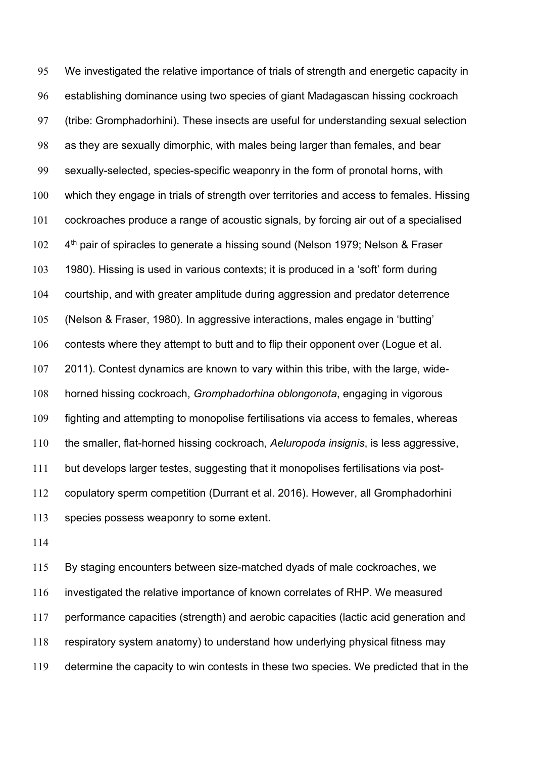We investigated the relative importance of trials of strength and energetic capacity in establishing dominance using two species of giant Madagascan hissing cockroach (tribe: Gromphadorhini). These insects are useful for understanding sexual selection as they are sexually dimorphic, with males being larger than females, and bear sexually-selected, species-specific weaponry in the form of pronotal horns, with which they engage in trials of strength over territories and access to females. Hissing cockroaches produce a range of acoustic signals, by forcing air out of a specialised 4<sup>th</sup> pair of spiracles to generate a hissing sound (Nelson 1979; Nelson & Fraser 1980). Hissing is used in various contexts; it is produced in a 'soft' form during courtship, and with greater amplitude during aggression and predator deterrence (Nelson & Fraser, 1980). In aggressive interactions, males engage in 'butting' contests where they attempt to butt and to flip their opponent over (Logue et al. 2011). Contest dynamics are known to vary within this tribe, with the large, wide- horned hissing cockroach, *Gromphadorhina oblongonota*, engaging in vigorous fighting and attempting to monopolise fertilisations via access to females, whereas the smaller, flat-horned hissing cockroach, *Aeluropoda insignis*, is less aggressive, but develops larger testes, suggesting that it monopolises fertilisations via post- copulatory sperm competition (Durrant et al. 2016). However, all Gromphadorhini species possess weaponry to some extent.

 By staging encounters between size-matched dyads of male cockroaches, we investigated the relative importance of known correlates of RHP. We measured performance capacities (strength) and aerobic capacities (lactic acid generation and respiratory system anatomy) to understand how underlying physical fitness may determine the capacity to win contests in these two species. We predicted that in the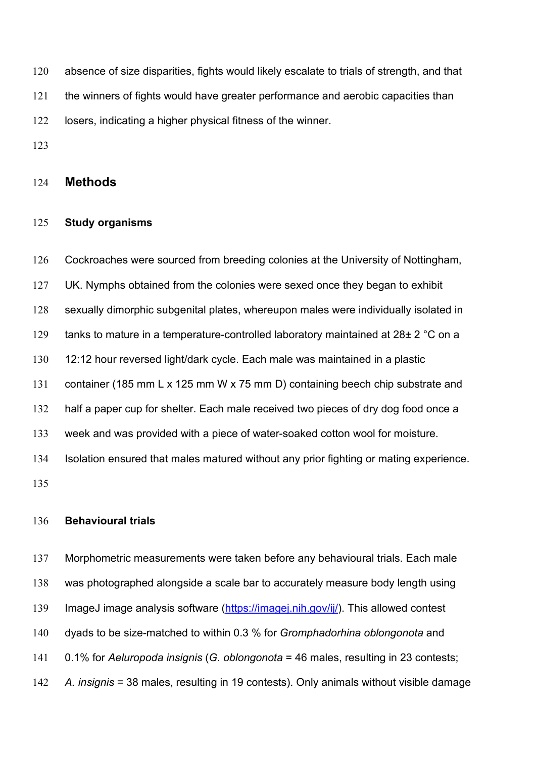absence of size disparities, fights would likely escalate to trials of strength, and that the winners of fights would have greater performance and aerobic capacities than losers, indicating a higher physical fitness of the winner.

## **Methods**

#### **Study organisms**

 Cockroaches were sourced from breeding colonies at the University of Nottingham, UK. Nymphs obtained from the colonies were sexed once they began to exhibit sexually dimorphic subgenital plates, whereupon males were individually isolated in 129 tanks to mature in a temperature-controlled laboratory maintained at 28± 2 °C on a 12:12 hour reversed light/dark cycle. Each male was maintained in a plastic container (185 mm L x 125 mm W x 75 mm D) containing beech chip substrate and half a paper cup for shelter. Each male received two pieces of dry dog food once a week and was provided with a piece of water-soaked cotton wool for moisture. Isolation ensured that males matured without any prior fighting or mating experience. 

## **Behavioural trials**

 Morphometric measurements were taken before any behavioural trials. Each male was photographed alongside a scale bar to accurately measure body length using ImageJ image analysis software [\(https://imagej.nih.gov/ij/\)](https://imagej.nih.gov/ij/). This allowed contest dyads to be size-matched to within 0.3 % for *Gromphadorhina oblongonota* and 0.1% for *Aeluropoda insignis* (*G. oblongonota* = 46 males, resulting in 23 contests; *A. insignis* = 38 males, resulting in 19 contests). Only animals without visible damage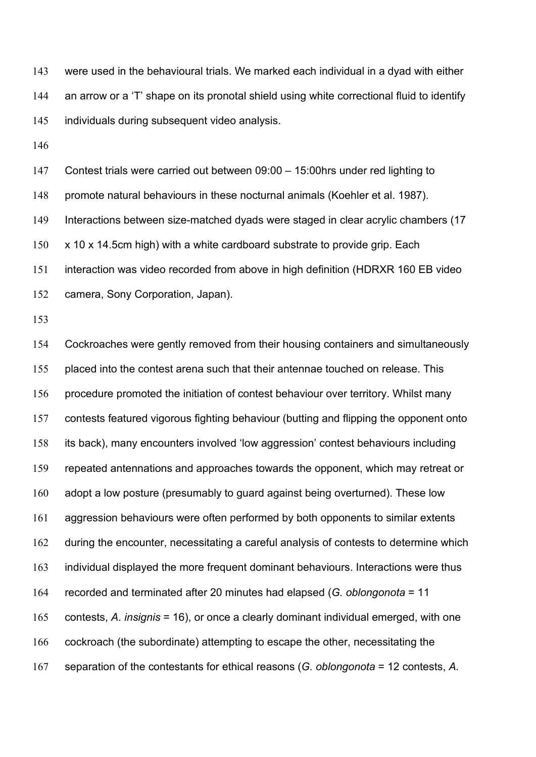were used in the behavioural trials. We marked each individual in a dyad with either an arrow or a 'T' shape on its pronotal shield using white correctional fluid to identify individuals during subsequent video analysis.

Contest trials were carried out between 09:00 – 15:00hrs under red lighting to

promote natural behaviours in these nocturnal animals (Koehler et al. 1987).

Interactions between size-matched dyads were staged in clear acrylic chambers (17

x 10 x 14.5cm high) with a white cardboard substrate to provide grip. Each

interaction was video recorded from above in high definition (HDRXR 160 EB video

camera, Sony Corporation, Japan).

 Cockroaches were gently removed from their housing containers and simultaneously placed into the contest arena such that their antennae touched on release. This procedure promoted the initiation of contest behaviour over territory. Whilst many contests featured vigorous fighting behaviour (butting and flipping the opponent onto its back), many encounters involved 'low aggression' contest behaviours including repeated antennations and approaches towards the opponent, which may retreat or adopt a low posture (presumably to guard against being overturned). These low aggression behaviours were often performed by both opponents to similar extents during the encounter, necessitating a careful analysis of contests to determine which individual displayed the more frequent dominant behaviours. Interactions were thus recorded and terminated after 20 minutes had elapsed (*G. oblongonota* = 11 contests, *A. insignis* = 16), or once a clearly dominant individual emerged, with one cockroach (the subordinate) attempting to escape the other, necessitating the separation of the contestants for ethical reasons (*G. oblongonota* = 12 contests, *A.*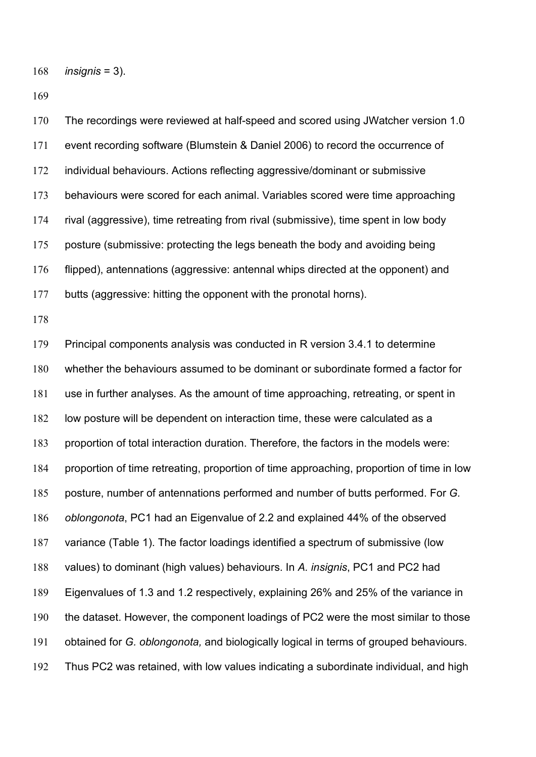*insignis* = 3).

 The recordings were reviewed at half-speed and scored using JWatcher version 1.0 event recording software (Blumstein & Daniel 2006) to record the occurrence of individual behaviours. Actions reflecting aggressive/dominant or submissive behaviours were scored for each animal. Variables scored were time approaching rival (aggressive), time retreating from rival (submissive), time spent in low body posture (submissive: protecting the legs beneath the body and avoiding being flipped), antennations (aggressive: antennal whips directed at the opponent) and butts (aggressive: hitting the opponent with the pronotal horns). Principal components analysis was conducted in R version 3.4.1 to determine

 whether the behaviours assumed to be dominant or subordinate formed a factor for use in further analyses. As the amount of time approaching, retreating, or spent in low posture will be dependent on interaction time, these were calculated as a proportion of total interaction duration. Therefore, the factors in the models were: proportion of time retreating, proportion of time approaching, proportion of time in low posture, number of antennations performed and number of butts performed. For *G. oblongonota*, PC1 had an Eigenvalue of 2.2 and explained 44% of the observed variance (Table 1). The factor loadings identified a spectrum of submissive (low values) to dominant (high values) behaviours. In *A. insignis*, PC1 and PC2 had Eigenvalues of 1.3 and 1.2 respectively, explaining 26% and 25% of the variance in the dataset. However, the component loadings of PC2 were the most similar to those obtained for *G. oblongonota,* and biologically logical in terms of grouped behaviours. Thus PC2 was retained, with low values indicating a subordinate individual, and high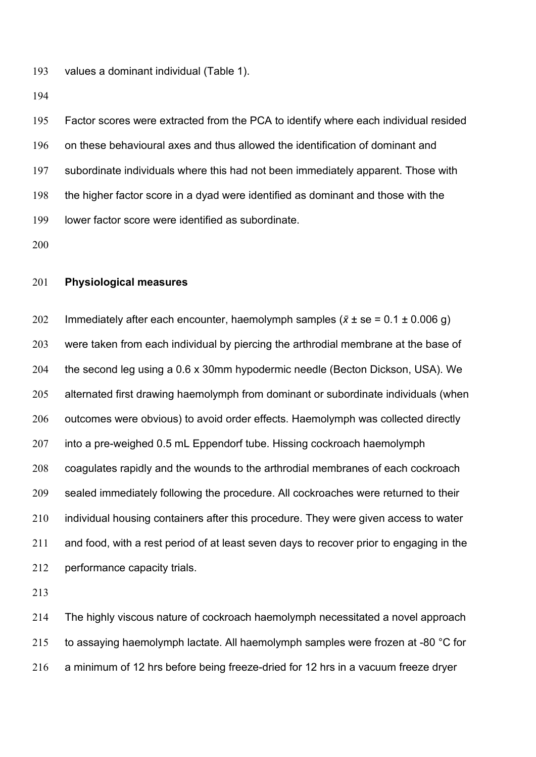values a dominant individual (Table 1).

 Factor scores were extracted from the PCA to identify where each individual resided on these behavioural axes and thus allowed the identification of dominant and subordinate individuals where this had not been immediately apparent. Those with the higher factor score in a dyad were identified as dominant and those with the lower factor score were identified as subordinate.

#### **Physiological measures**

202 Immediately after each encounter, haemolymph samples  $(\bar{x} \pm s \epsilon = 0.1 \pm 0.006 \text{ g})$  were taken from each individual by piercing the arthrodial membrane at the base of the second leg using a 0.6 x 30mm hypodermic needle (Becton Dickson, USA). We alternated first drawing haemolymph from dominant or subordinate individuals (when 206 outcomes were obvious) to avoid order effects. Haemolymph was collected directly 207 into a pre-weighed 0.5 mL Eppendorf tube. Hissing cockroach haemolymph coagulates rapidly and the wounds to the arthrodial membranes of each cockroach sealed immediately following the procedure. All cockroaches were returned to their 210 individual housing containers after this procedure. They were given access to water and food, with a rest period of at least seven days to recover prior to engaging in the performance capacity trials.

 The highly viscous nature of cockroach haemolymph necessitated a novel approach 215 to assaying haemolymph lactate. All haemolymph samples were frozen at -80 °C for a minimum of 12 hrs before being freeze-dried for 12 hrs in a vacuum freeze dryer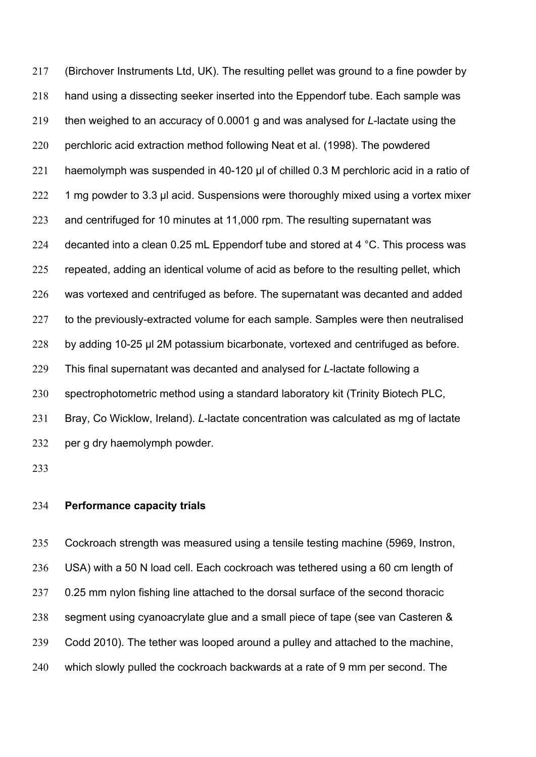(Birchover Instruments Ltd, UK). The resulting pellet was ground to a fine powder by hand using a dissecting seeker inserted into the Eppendorf tube. Each sample was then weighed to an accuracy of 0.0001 g and was analysed for *L*-lactate using the perchloric acid extraction method following Neat et al. (1998). The powdered haemolymph was suspended in 40-120 μl of chilled 0.3 M perchloric acid in a ratio of 222 1 mg powder to 3.3 µl acid. Suspensions were thoroughly mixed using a vortex mixer and centrifuged for 10 minutes at 11,000 rpm. The resulting supernatant was 224 decanted into a clean 0.25 mL Eppendorf tube and stored at 4  $^{\circ}$ C. This process was repeated, adding an identical volume of acid as before to the resulting pellet, which was vortexed and centrifuged as before. The supernatant was decanted and added 227 to the previously-extracted volume for each sample. Samples were then neutralised by adding 10-25 μl 2M potassium bicarbonate, vortexed and centrifuged as before. This final supernatant was decanted and analysed for *L*-lactate following a spectrophotometric method using a standard laboratory kit (Trinity Biotech PLC, Bray, Co Wicklow, Ireland). *L*-lactate concentration was calculated as mg of lactate per g dry haemolymph powder.

#### **Performance capacity trials**

 Cockroach strength was measured using a tensile testing machine (5969, Instron, USA) with a 50 N load cell. Each cockroach was tethered using a 60 cm length of 0.25 mm nylon fishing line attached to the dorsal surface of the second thoracic segment using cyanoacrylate glue and a small piece of tape (see van Casteren & Codd 2010). The tether was looped around a pulley and attached to the machine, 240 which slowly pulled the cockroach backwards at a rate of 9 mm per second. The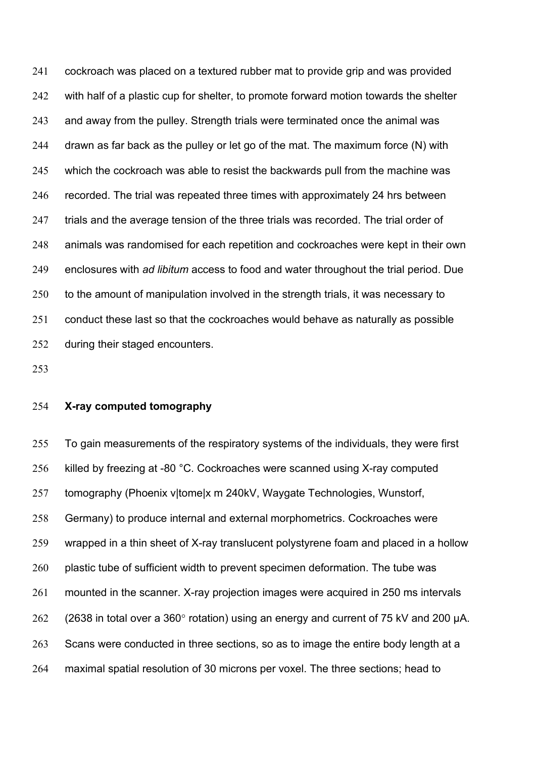cockroach was placed on a textured rubber mat to provide grip and was provided with half of a plastic cup for shelter, to promote forward motion towards the shelter and away from the pulley. Strength trials were terminated once the animal was drawn as far back as the pulley or let go of the mat. The maximum force (N) with which the cockroach was able to resist the backwards pull from the machine was recorded. The trial was repeated three times with approximately 24 hrs between 247 trials and the average tension of the three trials was recorded. The trial order of animals was randomised for each repetition and cockroaches were kept in their own enclosures with *ad libitum* access to food and water throughout the trial period. Due 250 to the amount of manipulation involved in the strength trials, it was necessary to conduct these last so that the cockroaches would behave as naturally as possible during their staged encounters.

#### **X-ray computed tomography**

 To gain measurements of the respiratory systems of the individuals, they were first 256 killed by freezing at -80 °C. Cockroaches were scanned using X-ray computed tomography (Phoenix v|tome|x m 240kV, Waygate Technologies, Wunstorf, Germany) to produce internal and external morphometrics. Cockroaches were wrapped in a thin sheet of X-ray translucent polystyrene foam and placed in a hollow 260 plastic tube of sufficient width to prevent specimen deformation. The tube was mounted in the scanner. X-ray projection images were acquired in 250 ms intervals (2638 in total over a 360° rotation) using an energy and current of 75 kV and 200 µA. 263 Scans were conducted in three sections, so as to image the entire body length at a maximal spatial resolution of 30 microns per voxel. The three sections; head to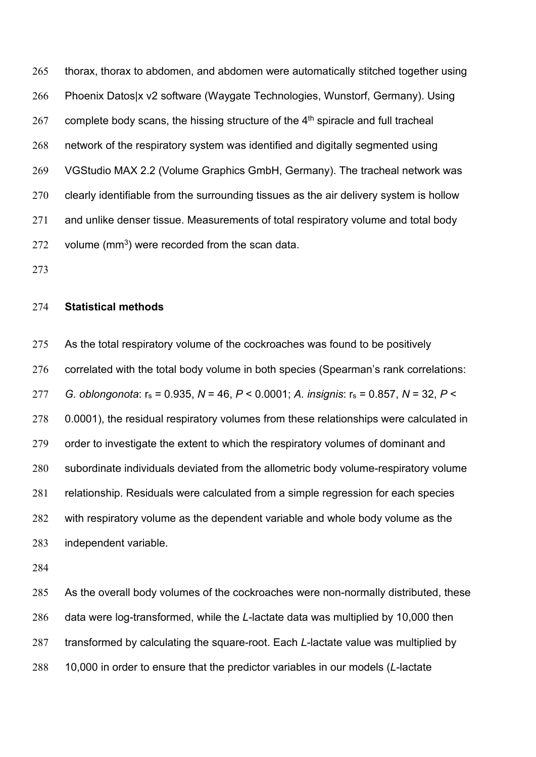thorax, thorax to abdomen, and abdomen were automatically stitched together using Phoenix Datos|x v2 software (Waygate Technologies, Wunstorf, Germany). Using complete body scans, the hissing structure of the  $4<sup>th</sup>$  spiracle and full tracheal network of the respiratory system was identified and digitally segmented using VGStudio MAX 2.2 (Volume Graphics GmbH, Germany). The tracheal network was clearly identifiable from the surrounding tissues as the air delivery system is hollow and unlike denser tissue. Measurements of total respiratory volume and total body volume (mm<sup>3</sup>) were recorded from the scan data.

#### **Statistical methods**

275 As the total respiratory volume of the cockroaches was found to be positively correlated with the total body volume in both species (Spearman's rank correlations: *G. oblongonota*: rs = 0.935, *N* = 46, *P* < 0.0001; *A. insignis*: rs = 0.857, *N* = 32, *P* < 278 0.0001), the residual respiratory volumes from these relationships were calculated in order to investigate the extent to which the respiratory volumes of dominant and subordinate individuals deviated from the allometric body volume-respiratory volume relationship. Residuals were calculated from a simple regression for each species with respiratory volume as the dependent variable and whole body volume as the independent variable.

 As the overall body volumes of the cockroaches were non-normally distributed, these data were log-transformed, while the *L*-lactate data was multiplied by 10,000 then transformed by calculating the square-root. Each *L*-lactate value was multiplied by 10,000 in order to ensure that the predictor variables in our models (*L*-lactate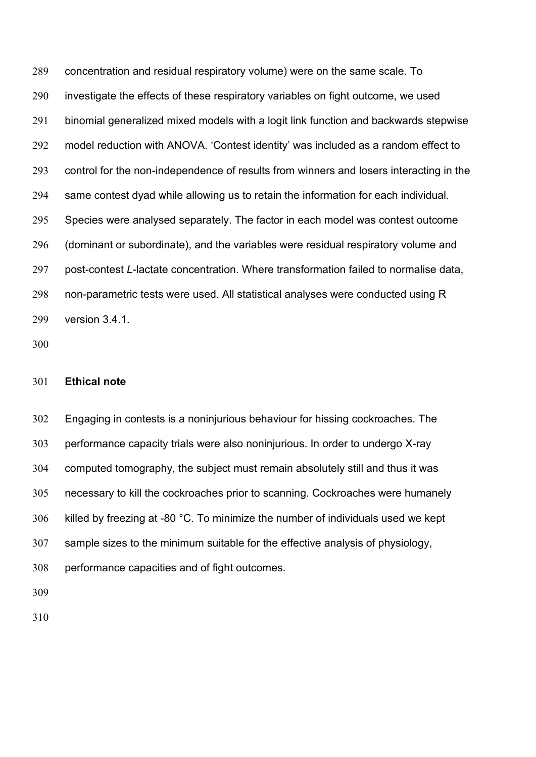concentration and residual respiratory volume) were on the same scale. To investigate the effects of these respiratory variables on fight outcome, we used binomial generalized mixed models with a logit link function and backwards stepwise model reduction with ANOVA. 'Contest identity' was included as a random effect to control for the non-independence of results from winners and losers interacting in the same contest dyad while allowing us to retain the information for each individual. Species were analysed separately. The factor in each model was contest outcome (dominant or subordinate), and the variables were residual respiratory volume and post-contest *L*-lactate concentration. Where transformation failed to normalise data, non-parametric tests were used. All statistical analyses were conducted using R version 3.4.1.

#### **Ethical note**

 Engaging in contests is a noninjurious behaviour for hissing cockroaches. The performance capacity trials were also noninjurious. In order to undergo X-ray computed tomography, the subject must remain absolutely still and thus it was necessary to kill the cockroaches prior to scanning. Cockroaches were humanely killed by freezing at -80 °C. To minimize the number of individuals used we kept sample sizes to the minimum suitable for the effective analysis of physiology, performance capacities and of fight outcomes.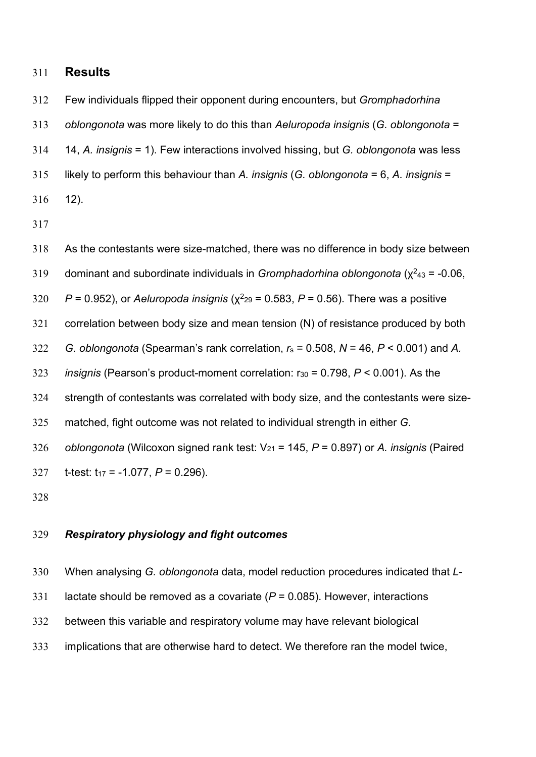## **Results**

Few individuals flipped their opponent during encounters, but *Gromphadorhina* 

*oblongonota* was more likely to do this than *Aeluropoda insignis* (*G. oblongonota* =

14, *A. insignis* = 1). Few interactions involved hissing, but *G. oblongonota* was less

likely to perform this behaviour than *A. insignis* (*G. oblongonota* = 6, *A. insignis* =

12).

As the contestants were size-matched, there was no difference in body size between

dominant and subordinate individuals in *Gromphadorhina oblongonota* ( $\chi^2_{43}$  = -0.06,

320  $P = 0.952$ ), or *Aeluropoda insignis* ( $\chi^2$ <sub>29</sub> = 0.583,  $P = 0.56$ ). There was a positive

correlation between body size and mean tension (N) of resistance produced by both

*G. oblongonota* (Spearman's rank correlation, *r*<sup>s</sup> = 0.508, *N* = 46, *P* < 0.001) and *A.* 

*insignis* (Pearson's product-moment correlation: r30 = 0.798, *P* < 0.001). As the

strength of contestants was correlated with body size, and the contestants were size-

matched, fight outcome was not related to individual strength in either *G.* 

 *oblongonota* (Wilcoxon signed rank test: V21 = 145, *P* = 0.897) or *A. insignis* (Paired 327 t-test:  $t_{17} = -1.077$ ,  $P = 0.296$ ).

#### *Respiratory physiology and fight outcomes*

 When analysing *G. oblongonota* data, model reduction procedures indicated that *L*- lactate should be removed as a covariate (*P* = 0.085). However, interactions between this variable and respiratory volume may have relevant biological implications that are otherwise hard to detect. We therefore ran the model twice,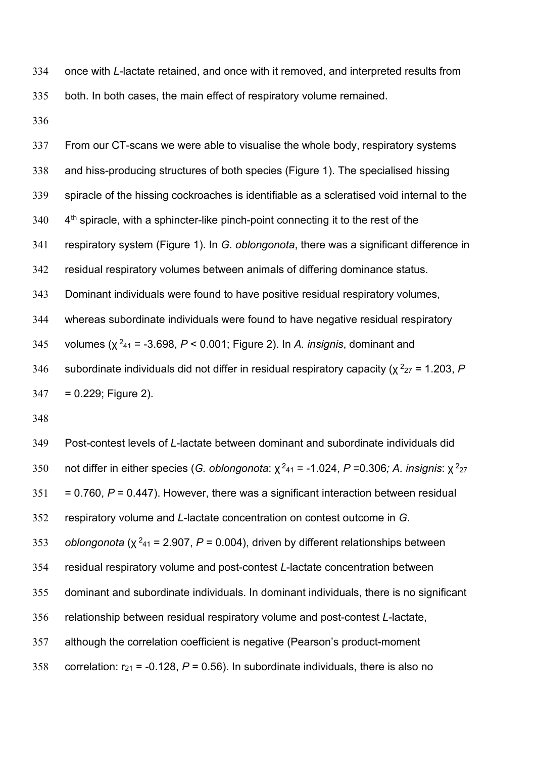once with *L*-lactate retained, and once with it removed, and interpreted results from both. In both cases, the main effect of respiratory volume remained.

 From our CT-scans we were able to visualise the whole body, respiratory systems and hiss-producing structures of both species (Figure 1). The specialised hissing spiracle of the hissing cockroaches is identifiable as a scleratised void internal to the 4<sup>th</sup> spiracle, with a sphincter-like pinch-point connecting it to the rest of the respiratory system (Figure 1). In *G. oblongonota*, there was a significant difference in residual respiratory volumes between animals of differing dominance status. Dominant individuals were found to have positive residual respiratory volumes, whereas subordinate individuals were found to have negative residual respiratory 345 volumes (χ<sup>2</sup><sub>41</sub> = -3.698, *P* < 0.001; Figure 2). In *A. insignis*, dominant and subordinate individuals did not differ in residual respiratory capacity ( $\chi^2_{27}$  = 1.203, *P*  $347 = 0.229$ ; Figure 2).

 Post-contest levels of *L*-lactate between dominant and subordinate individuals did 350 not differ in either species (*G. oblongonota*: χ<sup>2</sup><sub>41</sub> = -1.024, *P* =0.306*; A. insignis*: χ<sup>2</sup><sub>27</sub>  $351 = 0.760$ ,  $P = 0.447$ ). However, there was a significant interaction between residual respiratory volume and *L*-lactate concentration on contest outcome in *G. oblongonota* ( $\chi^2$ <sub>41</sub> = 2.907, *P* = 0.004), driven by different relationships between residual respiratory volume and post-contest *L*-lactate concentration between dominant and subordinate individuals. In dominant individuals, there is no significant relationship between residual respiratory volume and post-contest *L*-lactate, although the correlation coefficient is negative (Pearson's product-moment 358 correlation:  $r_{21}$  = -0.128,  $P$  = 0.56). In subordinate individuals, there is also no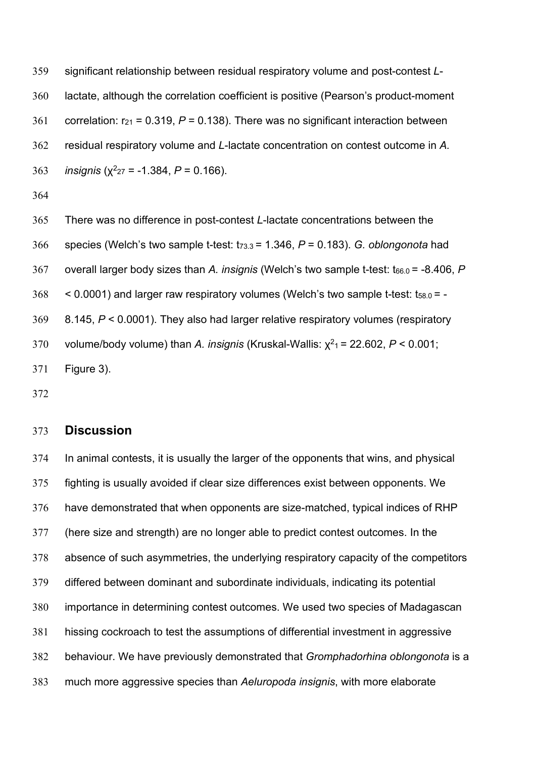significant relationship between residual respiratory volume and post-contest *L*- lactate, although the correlation coefficient is positive (Pearson's product-moment 361 correlation:  $r_{21}$  = 0.319,  $P$  = 0.138). There was no significant interaction between residual respiratory volume and *L*-lactate concentration on contest outcome in *A. insignis* ( $\chi^2_{27}$  = -1.384, *P* = 0.166).

 There was no difference in post-contest *L*-lactate concentrations between the species (Welch's two sample t-test: t73.3 = 1.346, *P* = 0.183). *G. oblongonota* had overall larger body sizes than *A. insignis* (Welch's two sample t-test: t66.0 = -8.406, *P*  $368 < 0.0001$ ) and larger raw respiratory volumes (Welch's two sample t-test:  $t_{58.0} = -1$  8.145, *P* < 0.0001). They also had larger relative respiratory volumes (respiratory volume/body volume) than *A. insignis* (Kruskal-Wallis:  $χ²₁ = 22.602$ ,  $P < 0.001$ ; Figure 3).

## **Discussion**

 In animal contests, it is usually the larger of the opponents that wins, and physical fighting is usually avoided if clear size differences exist between opponents. We have demonstrated that when opponents are size-matched, typical indices of RHP (here size and strength) are no longer able to predict contest outcomes. In the absence of such asymmetries, the underlying respiratory capacity of the competitors differed between dominant and subordinate individuals, indicating its potential importance in determining contest outcomes. We used two species of Madagascan hissing cockroach to test the assumptions of differential investment in aggressive behaviour. We have previously demonstrated that *Gromphadorhina oblongonota* is a much more aggressive species than *Aeluropoda insignis*, with more elaborate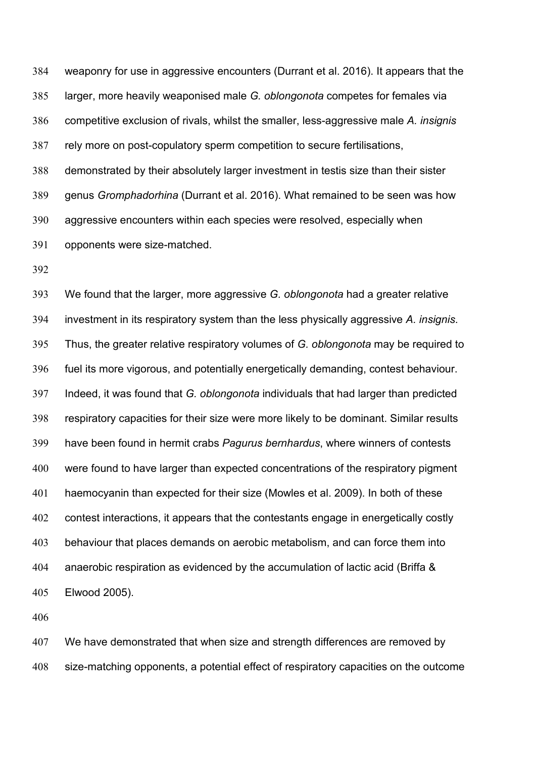weaponry for use in aggressive encounters (Durrant et al. 2016). It appears that the larger, more heavily weaponised male *G. oblongonota* competes for females via competitive exclusion of rivals, whilst the smaller, less-aggressive male *A. insignis* rely more on post-copulatory sperm competition to secure fertilisations, demonstrated by their absolutely larger investment in testis size than their sister genus *Gromphadorhina* (Durrant et al. 2016). What remained to be seen was how aggressive encounters within each species were resolved, especially when opponents were size-matched.

 We found that the larger, more aggressive *G. oblongonota* had a greater relative investment in its respiratory system than the less physically aggressive *A. insignis*. Thus, the greater relative respiratory volumes of *G. oblongonota* may be required to fuel its more vigorous, and potentially energetically demanding, contest behaviour. Indeed, it was found that *G. oblongonota* individuals that had larger than predicted respiratory capacities for their size were more likely to be dominant. Similar results have been found in hermit crabs *Pagurus bernhardus*, where winners of contests were found to have larger than expected concentrations of the respiratory pigment haemocyanin than expected for their size (Mowles et al. 2009). In both of these contest interactions, it appears that the contestants engage in energetically costly behaviour that places demands on aerobic metabolism, and can force them into anaerobic respiration as evidenced by the accumulation of lactic acid (Briffa & Elwood 2005).

 We have demonstrated that when size and strength differences are removed by size-matching opponents, a potential effect of respiratory capacities on the outcome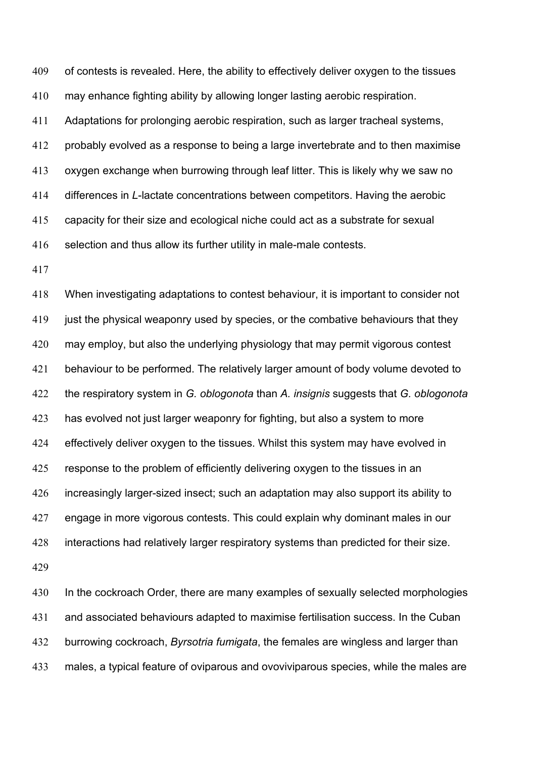of contests is revealed. Here, the ability to effectively deliver oxygen to the tissues may enhance fighting ability by allowing longer lasting aerobic respiration. Adaptations for prolonging aerobic respiration, such as larger tracheal systems, probably evolved as a response to being a large invertebrate and to then maximise oxygen exchange when burrowing through leaf litter. This is likely why we saw no differences in *L*-lactate concentrations between competitors. Having the aerobic capacity for their size and ecological niche could act as a substrate for sexual selection and thus allow its further utility in male-male contests.

 When investigating adaptations to contest behaviour, it is important to consider not 419 just the physical weaponry used by species, or the combative behaviours that they may employ, but also the underlying physiology that may permit vigorous contest behaviour to be performed. The relatively larger amount of body volume devoted to the respiratory system in *G. oblogonota* than *A. insignis* suggests that *G. oblogonota* has evolved not just larger weaponry for fighting, but also a system to more effectively deliver oxygen to the tissues. Whilst this system may have evolved in 425 response to the problem of efficiently delivering oxygen to the tissues in an increasingly larger-sized insect; such an adaptation may also support its ability to engage in more vigorous contests. This could explain why dominant males in our interactions had relatively larger respiratory systems than predicted for their size.

430 In the cockroach Order, there are many examples of sexually selected morphologies and associated behaviours adapted to maximise fertilisation success. In the Cuban burrowing cockroach, *Byrsotria fumigata*, the females are wingless and larger than males, a typical feature of oviparous and ovoviviparous species, while the males are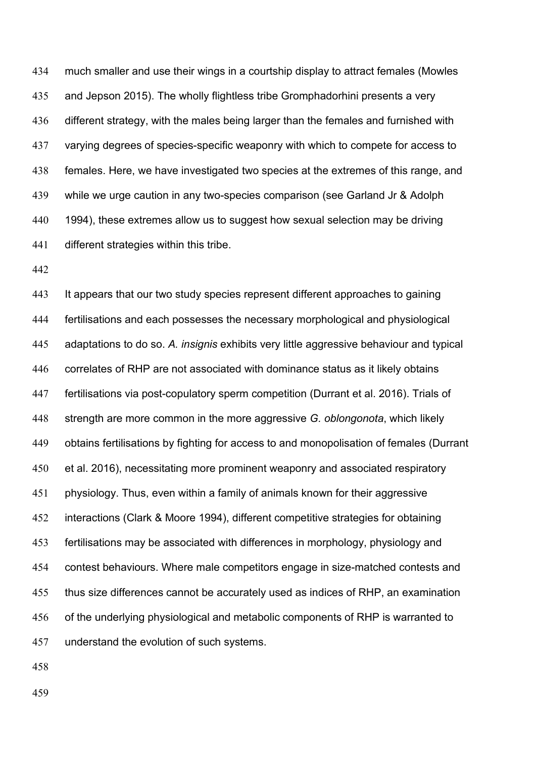much smaller and use their wings in a courtship display to attract females (Mowles and Jepson 2015). The wholly flightless tribe Gromphadorhini presents a very different strategy, with the males being larger than the females and furnished with varying degrees of species-specific weaponry with which to compete for access to females. Here, we have investigated two species at the extremes of this range, and while we urge caution in any two-species comparison (see Garland Jr & Adolph 440 1994), these extremes allow us to suggest how sexual selection may be driving different strategies within this tribe.

 It appears that our two study species represent different approaches to gaining fertilisations and each possesses the necessary morphological and physiological adaptations to do so. *A. insignis* exhibits very little aggressive behaviour and typical correlates of RHP are not associated with dominance status as it likely obtains fertilisations via post-copulatory sperm competition (Durrant et al. 2016). Trials of strength are more common in the more aggressive *G. oblongonota*, which likely obtains fertilisations by fighting for access to and monopolisation of females (Durrant et al. 2016), necessitating more prominent weaponry and associated respiratory physiology. Thus, even within a family of animals known for their aggressive interactions (Clark & Moore 1994), different competitive strategies for obtaining fertilisations may be associated with differences in morphology, physiology and contest behaviours. Where male competitors engage in size-matched contests and thus size differences cannot be accurately used as indices of RHP, an examination of the underlying physiological and metabolic components of RHP is warranted to understand the evolution of such systems.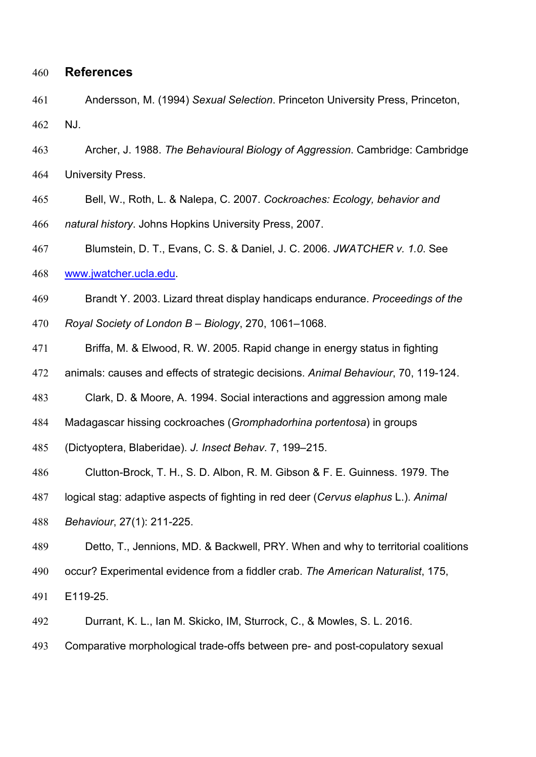#### **References**

- Andersson, M. (1994) *Sexual Selection*. Princeton University Press, Princeton, NJ.
- Archer, J. 1988. *The Behavioural Biology of Aggression*. Cambridge: Cambridge University Press.
- Bell, W., Roth, L. & Nalepa, C. 2007. *Cockroaches: Ecology, behavior and*
- *natural history*. Johns Hopkins University Press, 2007.
- Blumstein, D. T., Evans, C. S. & Daniel, J. C. 2006. *JWATCHER v. 1.0*. See
- [www.jwatcher.ucla.edu.](http://www.jwatcher.ucla.edu/)
- Brandt Y. 2003. Lizard threat display handicaps endurance. *Proceedings of the*
- *Royal Society of London B – Biology*, 270, 1061–1068.
- Briffa, M. & Elwood, R. W. 2005. Rapid change in energy status in fighting
- animals: causes and effects of strategic decisions. *Animal Behaviour*, 70, 119-124.
- Clark, D. & Moore, A. 1994. Social interactions and aggression among male
- Madagascar hissing cockroaches (*Gromphadorhina portentosa*) in groups
- (Dictyoptera, Blaberidae). *J. Insect Behav*. 7, 199–215.
- Clutton-Brock, T. H., S. D. Albon, R. M. Gibson & F. E. Guinness. 1979. The
- logical stag: adaptive aspects of fighting in red deer (*Cervus elaphus* L.). *Animal*
- *Behaviour*, 27(1): 211-225.
- Detto, T., Jennions, MD. & Backwell, PRY. When and why to territorial coalitions
- occur? Experimental evidence from a fiddler crab. *The American Naturalist*, 175,
- E119-25.
- Durrant, K. L., Ian M. Skicko, IM, Sturrock, C., & Mowles, S. L. 2016.
- Comparative morphological trade-offs between pre- and post-copulatory sexual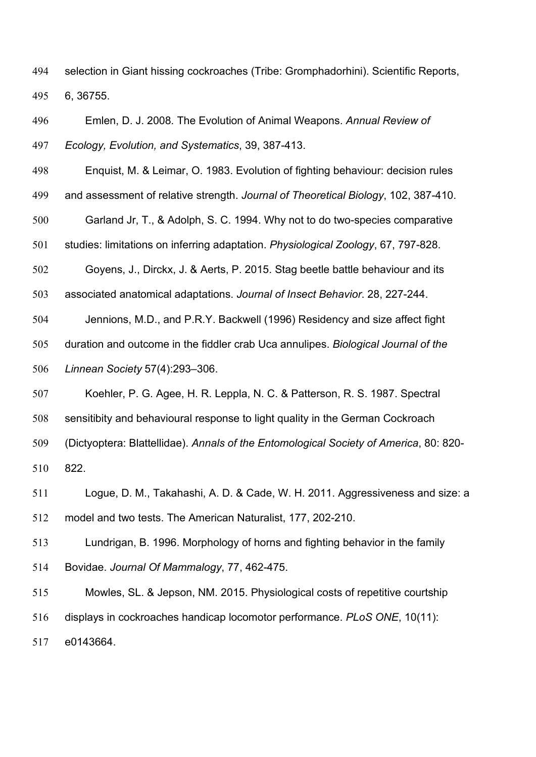selection in Giant hissing cockroaches (Tribe: Gromphadorhini). Scientific Reports, 6, 36755.

 Emlen, D. J. 2008*.* The Evolution of Animal Weapons. *Annual Review of Ecology, Evolution, and Systematics*, 39, 387-413.

Enquist, M. & Leimar, O. 1983. Evolution of fighting behaviour: decision rules

and assessment of relative strength. *Journal of Theoretical Biology*, 102, 387-410.

Garland Jr, T., & Adolph, S. C. 1994. Why not to do two-species comparative

studies: limitations on inferring adaptation. *Physiological Zoology*, 67, 797-828.

 Goyens, J., Dirckx, J. & Aerts, P. 2015. Stag beetle battle behaviour and its associated anatomical adaptations. *Journal of Insect Behavior*. 28, 227-244.

Jennions, M.D., and P.R.Y. Backwell (1996) Residency and size affect fight

 duration and outcome in the fiddler crab Uca annulipes. *Biological Journal of the Linnean Society* 57(4):293–306.

 Koehler, P. G. Agee, H. R. Leppla, N. C. & Patterson, R. S. 1987. Spectral sensitibity and behavioural response to light quality in the German Cockroach (Dictyoptera: Blattellidae). *Annals of the Entomological Society of America*, 80: 820- 822.

 Logue, D. M., Takahashi, A. D. & Cade, W. H. 2011. Aggressiveness and size: a model and two tests. The American Naturalist, 177, 202-210.

 Lundrigan, B. 1996. Morphology of horns and fighting behavior in the family Bovidae. *Journal Of Mammalogy*, 77, 462-475.

 Mowles, SL. & Jepson, NM. 2015. Physiological costs of repetitive courtship displays in cockroaches handicap locomotor performance. *PLoS ONE*, 10(11): e0143664.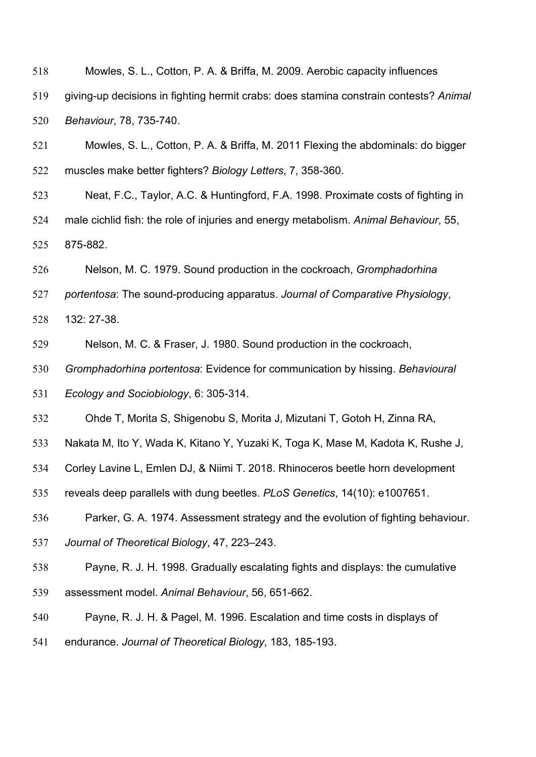Mowles, S. L., Cotton, P. A. & Briffa, M. 2009. Aerobic capacity influences giving-up decisions in fighting hermit crabs: does stamina constrain contests? *Animal Behaviour*, 78, 735-740.

 Mowles, S. L., Cotton, P. A. & Briffa, M. 2011 Flexing the abdominals: do bigger muscles make better fighters? *Biology Letters*, 7, 358-360.

 Neat, F.C., Taylor, A.C. & Huntingford, F.A. 1998. Proximate costs of fighting in male cichlid fish: the role of injuries and energy metabolism. *Animal Behaviour*, 55, 875-882.

Nelson, M. C. 1979. Sound production in the cockroach, *Gromphadorhina*

*portentosa*: The sound-producing apparatus. *Journal of Comparative Physiology*,

132: 27-38.

Nelson, M. C. & Fraser, J. 1980. Sound production in the cockroach,

*Gromphadorhina portentosa*: Evidence for communication by hissing. *Behavioural*

*Ecology and Sociobiology*, 6: 305-314.

Ohde T, Morita S, Shigenobu S, Morita J, Mizutani T, Gotoh H, Zinna RA,

Nakata M, Ito Y, Wada K, Kitano Y, Yuzaki K, Toga K, Mase M, Kadota K, Rushe J,

Corley Lavine L, Emlen DJ, & Niimi T. 2018. Rhinoceros beetle horn development

reveals deep parallels with dung beetles. *PLoS Genetics*, 14(10): e1007651.

Parker, G. A. 1974. Assessment strategy and the evolution of fighting behaviour.

*Journal of Theoretical Biology*, 47, 223–243.

Payne, R. J. H. 1998. Gradually escalating fights and displays: the cumulative

assessment model. *Animal Behaviour*, 56, 651-662.

Payne, R. J. H. & Pagel, M. 1996. Escalation and time costs in displays of

endurance. *Journal of Theoretical Biology*, 183, 185-193.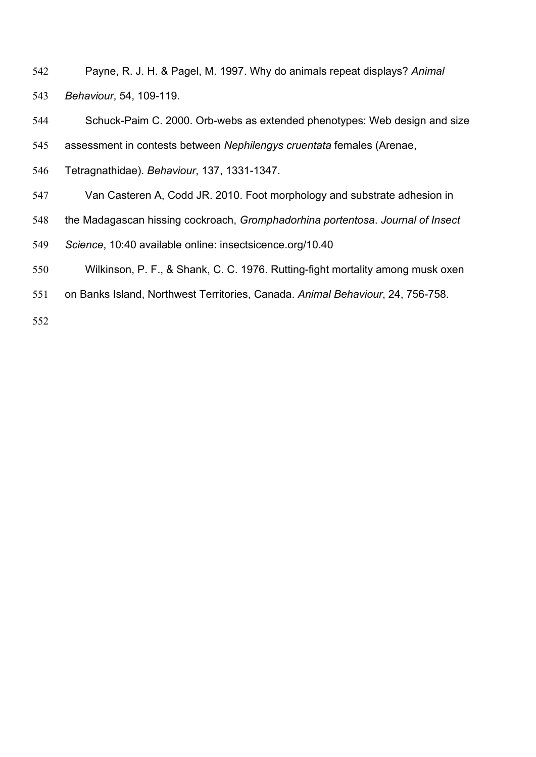- Payne, R. J. H. & Pagel, M. 1997. Why do animals repeat displays? *Animal Behaviour*, 54, 109-119.
- Schuck-Paim C. 2000. Orb-webs as extended phenotypes: Web design and size
- assessment in contests between *Nephilengys cruentata* females (Arenae,
- Tetragnathidae). *Behaviour*, 137, 1331-1347.
- Van Casteren A, Codd JR. 2010. Foot morphology and substrate adhesion in
- the Madagascan hissing cockroach, *Gromphadorhina portentosa*. *Journal of Insect*
- *Science*, 10:40 available online: insectsicence.org/10.40
- Wilkinson, P. F., & Shank, C. C. 1976. Rutting-fight mortality among musk oxen
- on Banks Island, Northwest Territories, Canada. *Animal Behaviour*, 24, 756-758.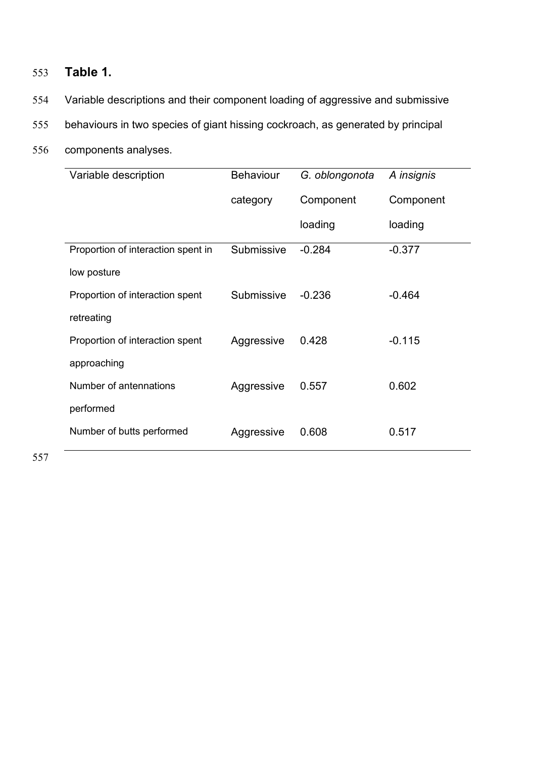## 553 **Table 1.**

- 554 Variable descriptions and their component loading of aggressive and submissive
- 555 behaviours in two species of giant hissing cockroach, as generated by principal
- 556 components analyses.

| Variable description               | <b>Behaviour</b> | G. oblongonota | A insignis |  |
|------------------------------------|------------------|----------------|------------|--|
|                                    | category         | Component      | Component  |  |
|                                    |                  | loading        | loading    |  |
| Proportion of interaction spent in | Submissive       | $-0.284$       | $-0.377$   |  |
| low posture                        |                  |                |            |  |
| Proportion of interaction spent    | Submissive       | $-0.236$       | $-0.464$   |  |
| retreating                         |                  |                |            |  |
| Proportion of interaction spent    | Aggressive       | 0.428          | $-0.115$   |  |
| approaching                        |                  |                |            |  |
| Number of antennations             | Aggressive       | 0.557          | 0.602      |  |
| performed                          |                  |                |            |  |
| Number of butts performed          | Aggressive       | 0.608          | 0.517      |  |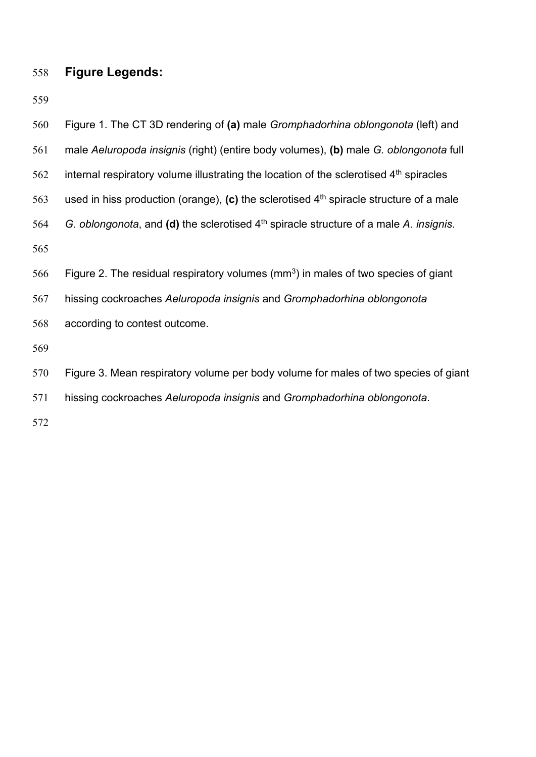# **Figure Legends:**

| 560 | Figure 1. The CT 3D rendering of (a) male Gromphadorhina oblongonota (left) and          |
|-----|------------------------------------------------------------------------------------------|
| 561 | male Aeluropoda insignis (right) (entire body volumes), (b) male G. oblongonota full     |
| 562 | internal respiratory volume illustrating the location of the sclerotised $4th$ spiracles |
| 563 | used in hiss production (orange), (c) the sclerotised $4th$ spiracle structure of a male |
| 564 | G. oblongonota, and (d) the sclerotised $4th$ spiracle structure of a male A. insignis.  |
| 565 |                                                                                          |
| 566 | Figure 2. The residual respiratory volumes ( $mm3$ ) in males of two species of giant    |
| 567 | hissing cockroaches Aeluropoda insignis and Gromphadorhina oblongonota                   |
| 568 | according to contest outcome.                                                            |
| 569 |                                                                                          |
| 570 | Figure 3. Mean respiratory volume per body volume for males of two species of giant      |
| 571 | hissing cockroaches Aeluropoda insignis and Gromphadorhina oblongonota.                  |
|     |                                                                                          |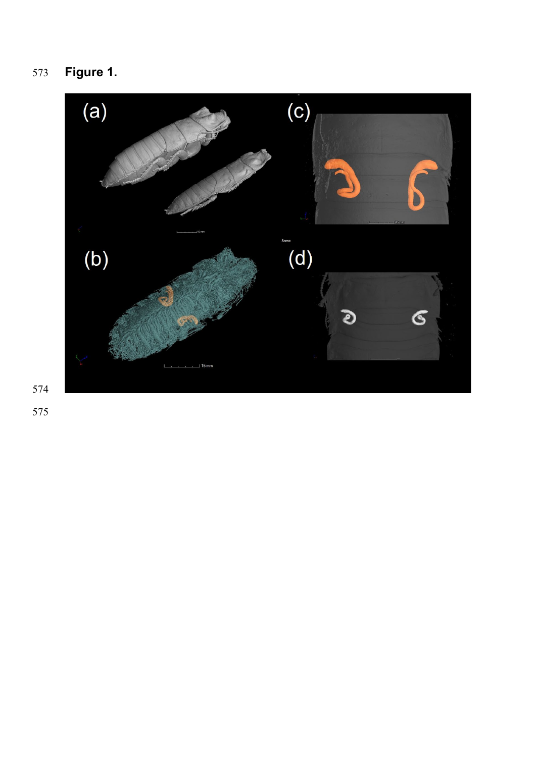**Figure 1.**

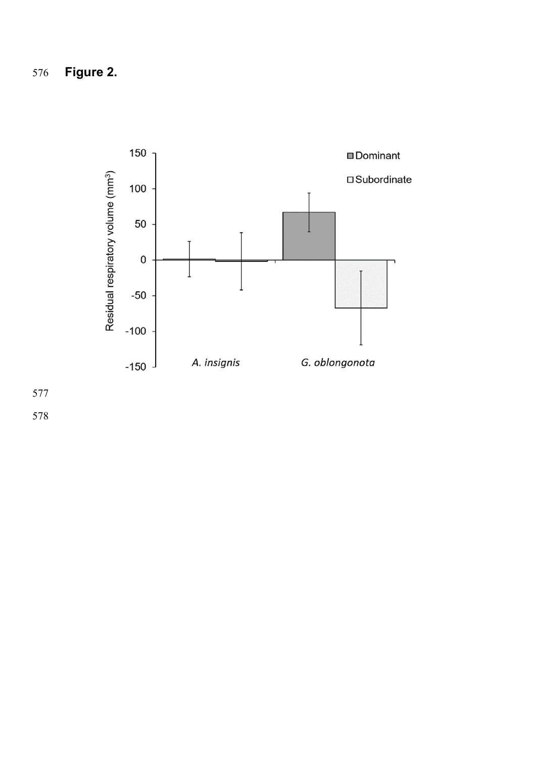**Figure 2.**